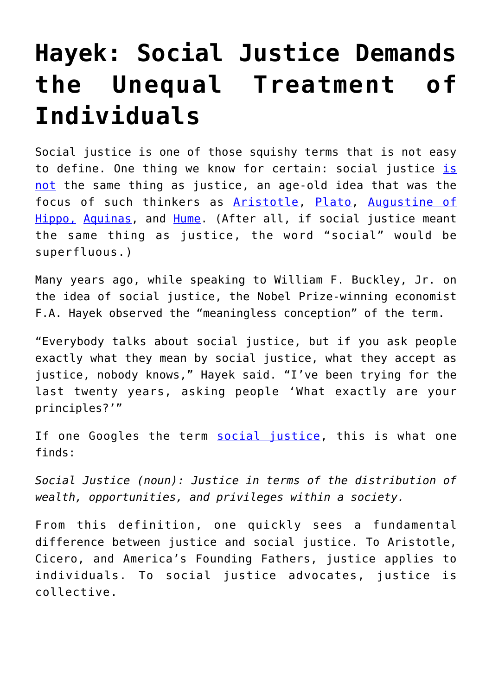## **[Hayek: Social Justice Demands](https://intellectualtakeout.org/2018/11/hayek-social-justice-demands-the-unequal-treatment-of-individuals/) [the Unequal Treatment of](https://intellectualtakeout.org/2018/11/hayek-social-justice-demands-the-unequal-treatment-of-individuals/) [Individuals](https://intellectualtakeout.org/2018/11/hayek-social-justice-demands-the-unequal-treatment-of-individuals/)**

Social justice is one of those squishy terms that is not easy to define. One thing we know for certain: social justice [is](https://fee.org/articles/justice-versus-social-justice/) [not](https://fee.org/articles/justice-versus-social-justice/) the same thing as justice, an age-old idea that was the focus of such thinkers as [Aristotle,](https://en.wikipedia.org/wiki/Aristotle) [Plato,](https://www.iep.utm.edu/plato/) [Augustine of](https://www.britannica.com/biography/Saint-Augustine) [Hippo,](https://www.britannica.com/biography/Saint-Augustine) [Aquinas](https://www.iep.utm.edu/aquinas/), and [Hume](https://www.iep.utm.edu/hume/). (After all, if social justice meant the same thing as justice, the word "social" would be superfluous.)

Many years ago, while speaking to William F. Buckley, Jr. on the idea of social justice, the Nobel Prize-winning economist F.A. Hayek observed the "meaningless conception" of the term.

"Everybody talks about social justice, but if you ask people exactly what they mean by social justice, what they accept as justice, nobody knows," Hayek said. "I've been trying for the last twenty years, asking people 'What exactly are your principles?'"

If one Googles the term [social justice](https://www.google.com/search?q=social+justice), this is what one finds:

*Social Justice (noun): Justice in terms of the distribution of wealth, opportunities, and privileges within a society.*

From this definition, one quickly sees a fundamental difference between justice and social justice. To Aristotle, Cicero, and America's Founding Fathers, justice applies to individuals. To social justice advocates, justice is collective.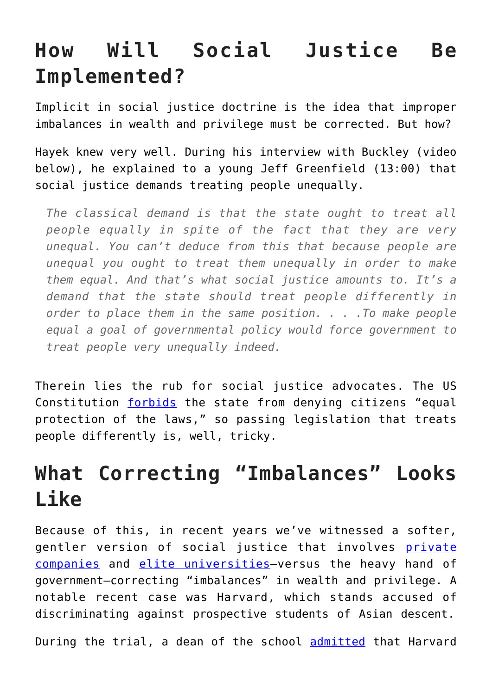## **How Will Social Justice Be Implemented?**

Implicit in social justice doctrine is the idea that improper imbalances in wealth and privilege must be corrected. But how?

Hayek knew very well. During his interview with Buckley (video below), he explained to a young Jeff Greenfield (13:00) that social justice demands treating people unequally.

*The classical demand is that the state ought to treat all people equally in spite of the fact that they are very unequal. You can't deduce from this that because people are unequal you ought to treat them unequally in order to make them equal. And that's what social justice amounts to. It's a demand that the state should treat people differently in order to place them in the same position. . . .To make people equal a goal of governmental policy would force government to treat people very unequally indeed.*

Therein lies the rub for social justice advocates. The US Constitution [forbids](https://www.law.cornell.edu/constitution/amendmentxiv) the state from denying citizens "equal protection of the laws," so passing legislation that treats people differently is, well, tricky.

## **What Correcting "Imbalances" Looks Like**

Because of this, in recent years we've witnessed a softer, gentler version of social justice that involves [private](https://www.theregister.co.uk/2018/10/31/intel_diversity_report_2018/) [companies](https://www.theregister.co.uk/2018/10/31/intel_diversity_report_2018/) and [elite universities](https://www.chronicle.com/article/What-You-Need-to-Know-About/240820)—versus the heavy hand of government—correcting "imbalances" in wealth and privilege. A notable recent case was Harvard, which stands accused of discriminating against prospective students of Asian descent.

During the trial, a dean of the school [admitted](https://nypost.com/2018/10/17/harvards-gatekeeper-reveals-sat-cutoff-scores-based-on-race/) that Harvard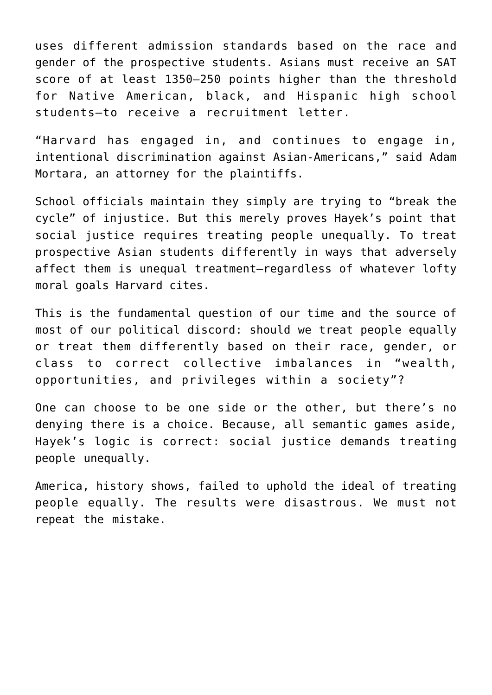uses different admission standards based on the race and gender of the prospective students. Asians must receive an SAT score of at least 1350—250 points higher than the threshold for Native American, black, and Hispanic high school students—to receive a recruitment letter.

"Harvard has engaged in, and continues to engage in, intentional discrimination against Asian-Americans," said Adam Mortara, an attorney for the plaintiffs.

School officials maintain they simply are trying to "break the cycle" of injustice. But this merely proves Hayek's point that social justice requires treating people unequally. To treat prospective Asian students differently in ways that adversely affect them is unequal treatment—regardless of whatever lofty moral goals Harvard cites.

This is the fundamental question of our time and the source of most of our political discord: should we treat people equally or treat them differently based on their race, gender, or class to correct collective imbalances in "wealth, opportunities, and privileges within a society"?

One can choose to be one side or the other, but there's no denying there is a choice. Because, all semantic games aside, Hayek's logic is correct: social justice demands treating people unequally.

America, history shows, failed to uphold the ideal of treating people equally. The results were disastrous. We must not repeat the mistake.